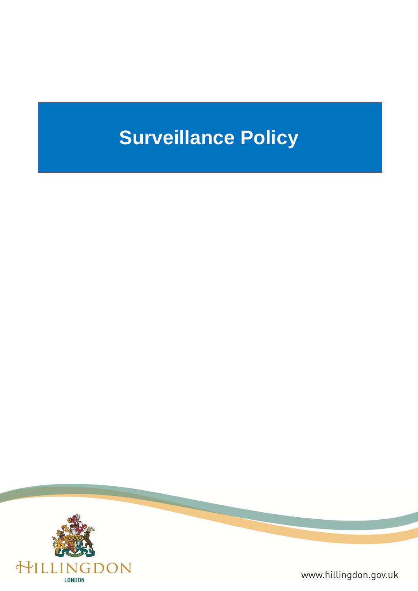# **Surveillance Policy**



www.hillingdon.gov.uk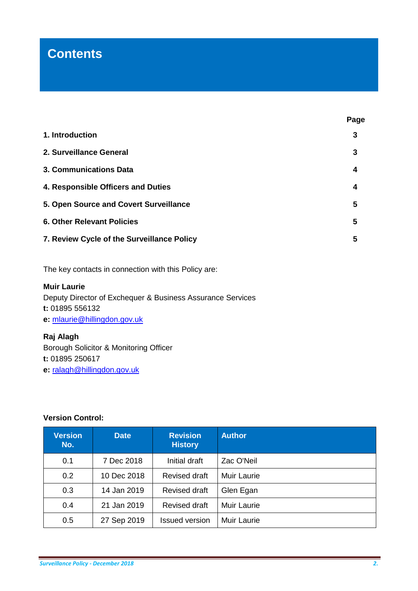## **Contents**

| 1. Introduction                            |   |
|--------------------------------------------|---|
| 2. Surveillance General                    | 3 |
| 3. Communications Data                     | 4 |
| 4. Responsible Officers and Duties         | 4 |
| 5. Open Source and Covert Surveillance     | 5 |
| <b>6. Other Relevant Policies</b>          | 5 |
| 7. Review Cycle of the Surveillance Policy | 5 |

The key contacts in connection with this Policy are:

### **Muir Laurie** Deputy Director of Exchequer & Business Assurance Services **t:** 01895 556132 **e:** [mlaurie@hillingdon.gov.uk](mailto:mlaurie@hillingdon.gov.uk)

**Raj Alagh** Borough Solicitor & Monitoring Officer **t:** 01895 250617 **e:** [ralagh@hillingdon.gov.uk](mailto:ralagh@hillingdon.gov.uk)

#### **Version Control:**

| <b>Version</b><br>No. | <b>Date</b> | <b>Revision</b><br><b>History</b> | <b>Author</b>      |
|-----------------------|-------------|-----------------------------------|--------------------|
| 0.1                   | 7 Dec 2018  | Initial draft                     | Zac O'Neil         |
| 0.2                   | 10 Dec 2018 | Revised draft                     | <b>Muir Laurie</b> |
| 0.3                   | 14 Jan 2019 | Revised draft                     | Glen Egan          |
| 0.4                   | 21 Jan 2019 | <b>Revised draft</b>              | <b>Muir Laurie</b> |
| 0.5                   | 27 Sep 2019 | <b>Issued version</b>             | <b>Muir Laurie</b> |

**Page**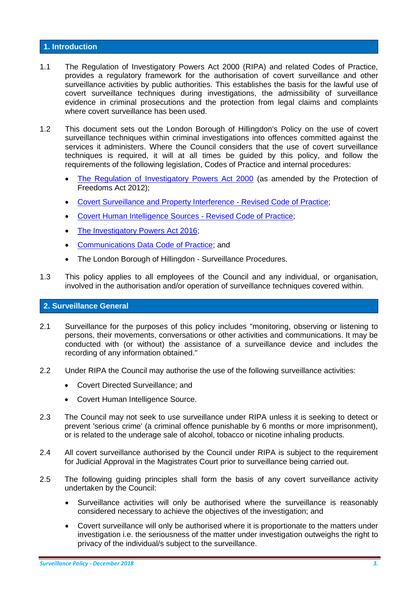#### **1. Introduction**

- 1.1 The Regulation of Investigatory Powers Act 2000 (RIPA) and related Codes of Practice, provides a regulatory framework for the authorisation of covert surveillance and other surveillance activities by public authorities. This establishes the basis for the lawful use of covert surveillance techniques during investigations, the admissibility of surveillance evidence in criminal prosecutions and the protection from legal claims and complaints where covert surveillance has been used.
- 1.2 This document sets out the London Borough of Hillingdon's Policy on the use of covert surveillance techniques within criminal investigations into offences committed against the services it administers. Where the Council considers that the use of covert surveillance techniques is required, it will at all times be guided by this policy, and follow the requirements of the following legislation, Codes of Practice and internal procedures:
	- [The Regulation of Investigatory Powers Act 2000](https://www.legislation.gov.uk/ukpga/2000/23/contents) (as amended by the Protection of Freedoms Act 2012);
	- [Covert Surveillance and Property Interference -](https://www.gov.uk/government/collections/ripa-codes) Revised Code of Practice;
	- [Covert Human Intelligence Sources -](https://www.gov.uk/government/collections/ripa-codes) Revised Code of Practice;
	- [The Investigatory Powers Act 2016;](http://www.legislation.gov.uk/ukpga/2016/25/contents/enacted)
	- [Communications Data Code of Practice;](https://assets.publishing.service.gov.uk/government/uploads/system/uploads/attachment_data/file/757851/Communications_Data_Code_of_Practice.pdf) and
	- The London Borough of Hillingdon Surveillance Procedures.
- 1.3 This policy applies to all employees of the Council and any individual, or organisation, involved in the authorisation and/or operation of surveillance techniques covered within.

#### **2. Surveillance General**

- 2.1 Surveillance for the purposes of this policy includes "monitoring, observing or listening to persons, their movements, conversations or other activities and communications. It may be conducted with (or without) the assistance of a surveillance device and includes the recording of any information obtained."
- 2.2 Under RIPA the Council may authorise the use of the following surveillance activities:
	- Covert Directed Surveillance; and
	- Covert Human Intelligence Source.
- 2.3 The Council may not seek to use surveillance under RIPA unless it is seeking to detect or prevent 'serious crime' (a criminal offence punishable by 6 months or more imprisonment), or is related to the underage sale of alcohol, tobacco or nicotine inhaling products.
- 2.4 All covert surveillance authorised by the Council under RIPA is subject to the requirement for Judicial Approval in the Magistrates Court prior to surveillance being carried out.
- 2.5 The following guiding principles shall form the basis of any covert surveillance activity undertaken by the Council:
	- Surveillance activities will only be authorised where the surveillance is reasonably considered necessary to achieve the objectives of the investigation; and
	- Covert surveillance will only be authorised where it is proportionate to the matters under investigation i.e. the seriousness of the matter under investigation outweighs the right to privacy of the individual/s subject to the surveillance.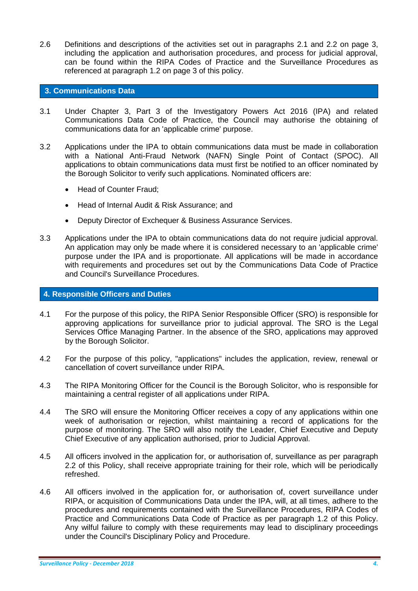2.6 Definitions and descriptions of the activities set out in paragraphs 2.1 and 2.2 on page 3, including the application and authorisation procedures, and process for judicial approval, can be found within the RIPA Codes of Practice and the Surveillance Procedures as referenced at paragraph 1.2 on page 3 of this policy.

#### **3. Communications Data**

- 3.1 Under Chapter 3, Part 3 of the Investigatory Powers Act 2016 (IPA) and related Communications Data Code of Practice, the Council may authorise the obtaining of communications data for an 'applicable crime' purpose.
- 3.2 Applications under the IPA to obtain communications data must be made in collaboration with a National Anti-Fraud Network (NAFN) Single Point of Contact (SPOC). All applications to obtain communications data must first be notified to an officer nominated by the Borough Solicitor to verify such applications. Nominated officers are:
	- Head of Counter Fraud;
	- Head of Internal Audit & Risk Assurance: and
	- Deputy Director of Exchequer & Business Assurance Services.
- 3.3 Applications under the IPA to obtain communications data do not require judicial approval. An application may only be made where it is considered necessary to an 'applicable crime' purpose under the IPA and is proportionate. All applications will be made in accordance with requirements and procedures set out by the Communications Data Code of Practice and Council's Surveillance Procedures.

#### **4. Responsible Officers and Duties**

- 4.1 For the purpose of this policy, the RIPA Senior Responsible Officer (SRO) is responsible for approving applications for surveillance prior to judicial approval. The SRO is the Legal Services Office Managing Partner. In the absence of the SRO, applications may approved by the Borough Solicitor.
- 4.2 For the purpose of this policy, "applications" includes the application, review, renewal or cancellation of covert surveillance under RIPA.
- 4.3 The RIPA Monitoring Officer for the Council is the Borough Solicitor, who is responsible for maintaining a central register of all applications under RIPA.
- 4.4 The SRO will ensure the Monitoring Officer receives a copy of any applications within one week of authorisation or rejection, whilst maintaining a record of applications for the purpose of monitoring. The SRO will also notify the Leader, Chief Executive and Deputy Chief Executive of any application authorised, prior to Judicial Approval.
- 4.5 All officers involved in the application for, or authorisation of, surveillance as per paragraph 2.2 of this Policy, shall receive appropriate training for their role, which will be periodically refreshed.
- 4.6 All officers involved in the application for, or authorisation of, covert surveillance under RIPA, or acquisition of Communications Data under the IPA, will, at all times, adhere to the procedures and requirements contained with the Surveillance Procedures, RIPA Codes of Practice and Communications Data Code of Practice as per paragraph 1.2 of this Policy. Any wilful failure to comply with these requirements may lead to disciplinary proceedings under the Council's Disciplinary Policy and Procedure.